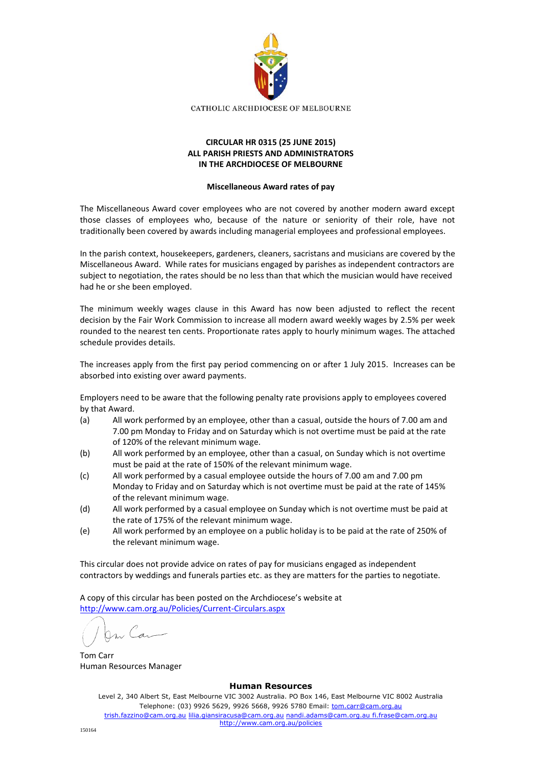

## **CIRCULAR HR 0315 (25 JUNE 2015) ALL PARISH PRIESTS AND ADMINISTRATORS IN THE ARCHDIOCESE OF MELBOURNE**

## **Miscellaneous Award rates of pay**

The Miscellaneous Award cover employees who are not covered by another modern award except those classes of employees who, because of the nature or seniority of their role, have not traditionally been covered by awards including managerial employees and professional employees.

In the parish context, housekeepers, gardeners, cleaners, sacristans and musicians are covered by the Miscellaneous Award. While rates for musicians engaged by parishes as independent contractors are subject to negotiation, the rates should be no less than that which the musician would have received had he or she been employed.

The minimum weekly wages clause in this Award has now been adjusted to reflect the recent decision by the Fair Work Commission to increase all modern award weekly wages by 2.5% per week rounded to the nearest ten cents. Proportionate rates apply to hourly minimum wages. The attached schedule provides details.

The increases apply from the first pay period commencing on or after 1 July 2015. Increases can be absorbed into existing over award payments.

Employers need to be aware that the following penalty rate provisions apply to employees covered by that Award.

- (a) All work performed by an employee, other than a casual, outside the hours of 7.00 am and 7.00 pm Monday to Friday and on Saturday which is not overtime must be paid at the rate of 120% of the relevant minimum wage.
- (b) All work performed by an employee, other than a casual, on Sunday which is not overtime must be paid at the rate of 150% of the relevant minimum wage.
- (c) All work performed by a casual employee outside the hours of 7.00 am and 7.00 pm Monday to Friday and on Saturday which is not overtime must be paid at the rate of 145% of the relevant minimum wage.
- (d) All work performed by a casual employee on Sunday which is not overtime must be paid at the rate of 175% of the relevant minimum wage.
- (e) All work performed by an employee on a public holiday is to be paid at the rate of 250% of the relevant minimum wage.

This circular does not provide advice on rates of pay for musicians engaged as independent contractors by weddings and funerals parties etc. as they are matters for the parties to negotiate.

A copy of this circular has been posted on the Archdiocese's website at <http://www.cam.org.au/Policies/Current-Circulars.aspx>

Tom Carr Human Resources Manager

## **Human Resources**

Level 2, 340 Albert St, East Melbourne VIC 3002 Australia. PO Box 146, East Melbourne VIC 8002 Australia Telephone: (03) 9926 5629, 9926 5668, 9926 5780 Email: tom.carr@cam.org.au trish.fazzino@cam.org.au lilia.giansiracusa@cam.org.au nandi.adams@cam.org.au fi.frase@cam.org.au http://www.cam.org.au/policies